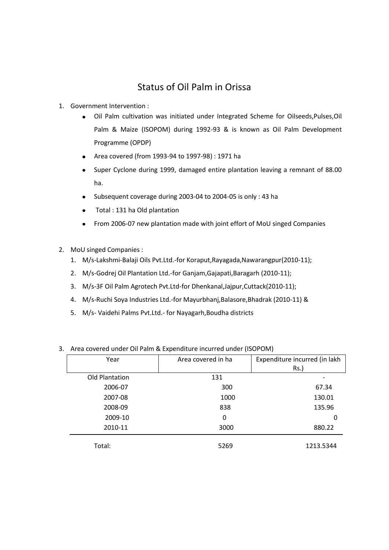## Status of Oil Palm in Orissa

- 1. Government Intervention :
	- Oil Palm cultivation was initiated under Integrated Scheme for Oilseeds,Pulses,Oil Palm & Maize (ISOPOM) during 1992-93 & is known as Oil Palm Development Programme (OPDP)
	- Area covered (from 1993-94 to 1997-98) : 1971 ha
	- Super Cyclone during 1999, damaged entire plantation leaving a remnant of 88.00 ha.
	- Subsequent coverage during 2003-04 to 2004-05 is only : 43 ha
	- Total : 131 ha Old plantation  $\bullet$
	- From 2006-07 new plantation made with joint effort of MoU singed Companies  $\bullet$
- 2. MoU singed Companies :
	- 1. M/s-Lakshmi-Balaji Oils Pvt.Ltd.-for Koraput,Rayagada,Nawarangpur(2010-11);
	- 2. M/s-Godrej Oil Plantation Ltd.-for Ganjam,Gajapati,Baragarh (2010-11);
	- 3. M/s-3F Oil Palm Agrotech Pvt.Ltd-for Dhenkanal,Jajpur,Cuttack(2010-11);
	- 4. M/s-Ruchi Soya Industries Ltd.-for Mayurbhanj,Balasore,Bhadrak (2010-11) &
	- 5. M/s- Vaidehi Palms Pvt.Ltd.- for Nayagarh,Boudha districts

| Year           | Area covered in ha | Expenditure incurred (in lakh |
|----------------|--------------------|-------------------------------|
|                |                    | $Rs.$ )                       |
| Old Plantation | 131                |                               |
| 2006-07        | 300                | 67.34                         |
| 2007-08        | 1000               | 130.01                        |
| 2008-09        | 838                | 135.96                        |
| 2009-10        | $\Omega$           | 0                             |
| 2010-11        | 3000               | 880.22                        |
| Total:         | 5269               | 1213.5344                     |

## 3. Area covered under Oil Palm & Expenditure incurred under (ISOPOM)